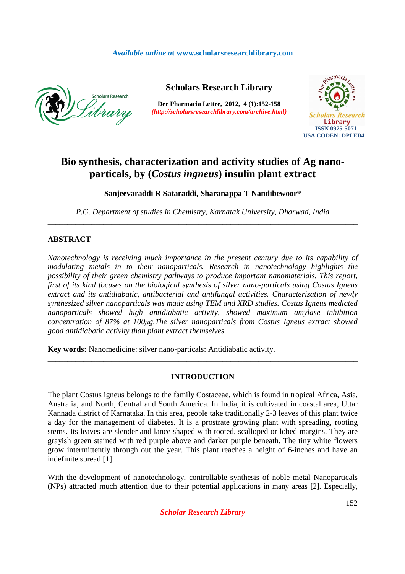# *Available online a***t www.scholarsresearchlibrary.com**



## **Scholars Research Library**

**Der Pharmacia Lettre, 2012, 4 (1):152-158**  *(http://scholarsresearchlibrary.com/archive.html)*



# **Bio synthesis, characterization and activity studies of Ag nanoparticals, by (***Costus ingneus***) insulin plant extract**

**Sanjeevaraddi R Sataraddi, Sharanappa T Nandibewoor\*** 

*P.G. Department of studies in Chemistry, Karnatak University, Dharwad, India*  \_\_\_\_\_\_\_\_\_\_\_\_\_\_\_\_\_\_\_\_\_\_\_\_\_\_\_\_\_\_\_\_\_\_\_\_\_\_\_\_\_\_\_\_\_\_\_\_\_\_\_\_\_\_\_\_\_\_\_\_\_\_\_\_\_\_\_\_\_\_\_\_\_\_\_\_\_\_

## **ABSTRACT**

*Nanotechnology is receiving much importance in the present century due to its capability of modulating metals in to their nanoparticals. Research in nanotechnology highlights the possibility of their green chemistry pathways to produce important nanomaterials. This report, first of its kind focuses on the biological synthesis of silver nano-particals using Costus Igneus extract and its antidiabatic, antibacterial and antifungal activities. Characterization of newly synthesized silver nanoparticals was made using TEM and XRD studies. Costus Igneus mediated nanoparticals showed high antidiabatic activity, showed maximum amylase inhibition concentration of 87% at 100µg.The silver nanoparticals from Costus Igneus extract showed good antidiabatic activity than plant extract themselves.* 

**Key words:** Nanomedicine: silver nano-particals: Antidiabatic activity.

## **INTRODUCTION**

\_\_\_\_\_\_\_\_\_\_\_\_\_\_\_\_\_\_\_\_\_\_\_\_\_\_\_\_\_\_\_\_\_\_\_\_\_\_\_\_\_\_\_\_\_\_\_\_\_\_\_\_\_\_\_\_\_\_\_\_\_\_\_\_\_\_\_\_\_\_\_\_\_\_\_\_\_\_

The plant Costus igneus belongs to the family Costaceae, which is found in tropical Africa, Asia, Australia, and North, Central and South America. In India, it is cultivated in coastal area, Uttar Kannada district of Karnataka. In this area, people take traditionally 2-3 leaves of this plant twice a day for the management of diabetes. It is a prostrate growing plant with spreading, rooting stems. Its leaves are slender and lance shaped with tooted, scalloped or lobed margins. They are grayish green stained with red purple above and darker purple beneath. The tiny white flowers grow intermittently through out the year. This plant reaches a height of 6-inches and have an indefinite spread [1].

With the development of nanotechnology, controllable synthesis of noble metal Nanoparticals (NPs) attracted much attention due to their potential applications in many areas [2]. Especially,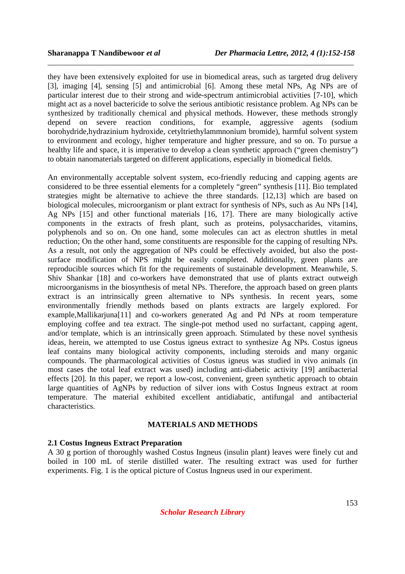they have been extensively exploited for use in biomedical areas, such as targeted drug delivery [3], imaging [4], sensing [5] and antimicrobial [6]. Among these metal NPs, Ag NPs are of particular interest due to their strong and wide-spectrum antimicrobial activities [7-10], which might act as a novel bactericide to solve the serious antibiotic resistance problem. Ag NPs can be synthesized by traditionally chemical and physical methods. However, these methods strongly depend on severe reaction conditions, for example, aggressive agents (sodium borohydride,hydrazinium hydroxide, cetyltriethylammnonium bromide), harmful solvent system to environment and ecology, higher temperature and higher pressure, and so on. To pursue a healthy life and space, it is imperative to develop a clean synthetic approach ("green chemistry") to obtain nanomaterials targeted on different applications, especially in biomedical fields.

\_\_\_\_\_\_\_\_\_\_\_\_\_\_\_\_\_\_\_\_\_\_\_\_\_\_\_\_\_\_\_\_\_\_\_\_\_\_\_\_\_\_\_\_\_\_\_\_\_\_\_\_\_\_\_\_\_\_\_\_\_\_\_\_\_\_\_\_\_\_\_\_\_\_\_\_\_

An environmentally acceptable solvent system, eco-friendly reducing and capping agents are considered to be three essential elements for a completely "green" synthesis [11]. Bio templated strategies might be alternative to achieve the three standards. [12,13] which are based on biological molecules, microorganism or plant extract for synthesis of NPs, such as Au NPs [14], Ag NPs [15] and other functional materials [16, 17]. There are many biologically active components in the extracts of fresh plant, such as proteins, polysaccharides, vitamins, polyphenols and so on. On one hand, some molecules can act as electron shuttles in metal reduction; On the other hand, some constituents are responsible for the capping of resulting NPs. As a result, not only the aggregation of NPs could be effectively avoided, but also the postsurface modification of NPS might be easily completed. Additionally, green plants are reproducible sources which fit for the requirements of sustainable development. Meanwhile, S. Shiv Shankar [18] and co-workers have demonstrated that use of plants extract outweigh microorganisms in the biosynthesis of metal NPs. Therefore, the approach based on green plants extract is an intrinsically green alternative to NPs synthesis. In recent years, some environmentally friendly methods based on plants extracts are largely explored. For example,Mallikarjuna[11] and co-workers generated Ag and Pd NPs at room temperature employing coffee and tea extract. The single-pot method used no surfactant, capping agent, and/or template, which is an intrinsically green approach. Stimulated by these novel synthesis ideas, herein, we attempted to use Costus igneus extract to synthesize Ag NPs. Costus igneus leaf contains many biological activity components, including steroids and many organic compounds. The pharmacological activities of Costus igneus was studied in vivo animals (in most cases the total leaf extract was used) including anti-diabetic activity [19] antibacterial effects [20]. In this paper, we report a low-cost, convenient, green synthetic approach to obtain large quantities of AgNPs by reduction of silver ions with Costus Ingneus extract at room temperature. The material exhibited excellent antidiabatic, antifungal and antibacterial characteristics.

#### **MATERIALS AND METHODS**

#### **2.1 Costus Ingneus Extract Preparation**

A 30 g portion of thoroughly washed Costus Ingneus (insulin plant) leaves were finely cut and boiled in 100 mL of sterile distilled water. The resulting extract was used for further experiments. Fig. 1 is the optical picture of Costus Ingneus used in our experiment.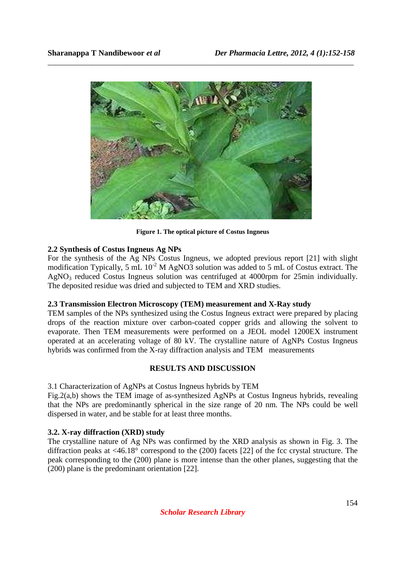

\_\_\_\_\_\_\_\_\_\_\_\_\_\_\_\_\_\_\_\_\_\_\_\_\_\_\_\_\_\_\_\_\_\_\_\_\_\_\_\_\_\_\_\_\_\_\_\_\_\_\_\_\_\_\_\_\_\_\_\_\_\_\_\_\_\_\_\_\_\_\_\_\_\_\_\_\_

**Figure 1. The optical picture of Costus Ingneus** 

## **2.2 Synthesis of Costus Ingneus Ag NPs**

For the synthesis of the Ag NPs Costus Ingneus, we adopted previous report [21] with slight modification Typically, 5 mL  $10^{-2}$  M AgNO3 solution was added to 5 mL of Costus extract. The AgNO<sub>3</sub> reduced Costus Ingneus solution was centrifuged at 4000rpm for 25min individually. The deposited residue was dried and subjected to TEM and XRD studies.

## **2.3 Transmission Electron Microscopy (TEM) measurement and X-Ray study**

TEM samples of the NPs synthesized using the Costus Ingneus extract were prepared by placing drops of the reaction mixture over carbon-coated copper grids and allowing the solvent to evaporate. Then TEM measurements were performed on a JEOL model 1200EX instrument operated at an accelerating voltage of 80 kV. The crystalline nature of AgNPs Costus Ingneus hybrids was confirmed from the X-ray diffraction analysis and TEM measurements

## **RESULTS AND DISCUSSION**

3.1 Characterization of AgNPs at Costus Ingneus hybrids by TEM

Fig.2(a,b) shows the TEM image of as-synthesized AgNPs at Costus Ingneus hybrids, revealing that the NPs are predominantly spherical in the size range of 20 nm. The NPs could be well dispersed in water, and be stable for at least three months.

# **3.2. X-ray diffraction (XRD) study**

The crystalline nature of Ag NPs was confirmed by the XRD analysis as shown in Fig. 3. The diffraction peaks at <46.18° correspond to the (200) facets [22] of the fcc crystal structure. The peak corresponding to the (200) plane is more intense than the other planes, suggesting that the (200) plane is the predominant orientation [22].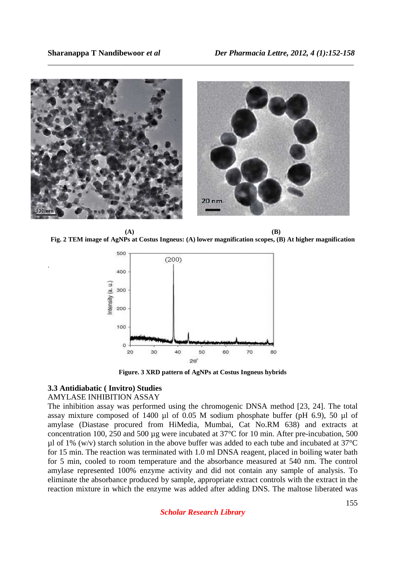

\_\_\_\_\_\_\_\_\_\_\_\_\_\_\_\_\_\_\_\_\_\_\_\_\_\_\_\_\_\_\_\_\_\_\_\_\_\_\_\_\_\_\_\_\_\_\_\_\_\_\_\_\_\_\_\_\_\_\_\_\_\_\_\_\_\_\_\_\_\_\_\_\_\_\_\_\_

**(A) (B) Fig. 2 TEM image of AgNPs at Costus Ingneus: (A) lower magnification scopes, (B) At higher magnification** 



**Figure. 3 XRD pattern of AgNPs at Costus Ingneus hybrids**

#### **3.3 Antidiabatic ( Invitro) Studies**

#### AMYLASE INHIBITION ASSAY

.

The inhibition assay was performed using the chromogenic DNSA method [23, 24]. The total assay mixture composed of 1400 µl of 0.05 M sodium phosphate buffer (pH 6.9), 50 µl of amylase (Diastase procured from HiMedia, Mumbai, Cat No.RM 638) and extracts at concentration 100, 250 and 500 µg were incubated at 37°C for 10 min. After pre-incubation, 500  $\mu$ l of 1% (w/v) starch solution in the above buffer was added to each tube and incubated at 37°C for 15 min. The reaction was terminated with 1.0 ml DNSA reagent, placed in boiling water bath for 5 min, cooled to room temperature and the absorbance measured at 540 nm. The control amylase represented 100% enzyme activity and did not contain any sample of analysis. To eliminate the absorbance produced by sample, appropriate extract controls with the extract in the reaction mixture in which the enzyme was added after adding DNS. The maltose liberated was

*Scholar Research Library*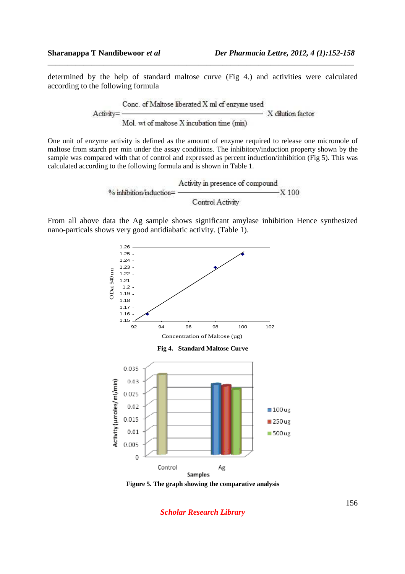determined by the help of standard maltose curve (Fig 4.) and activities were calculated according to the following formula

\_\_\_\_\_\_\_\_\_\_\_\_\_\_\_\_\_\_\_\_\_\_\_\_\_\_\_\_\_\_\_\_\_\_\_\_\_\_\_\_\_\_\_\_\_\_\_\_\_\_\_\_\_\_\_\_\_\_\_\_\_\_\_\_\_\_\_\_\_\_\_\_\_\_\_\_\_

Conc. of Maltose liberated X ml of enzyme used X dilution factor Activity= Mol. wt of maltose X incubation time (min)

One unit of enzyme activity is defined as the amount of enzyme required to release one micromole of maltose from starch per min under the assay conditions. The inhibitory/induction property shown by the sample was compared with that of control and expressed as percent induction/inhibition (Fig 5). This was calculated according to the following formula and is shown in Table 1.

$$
% inhibition/induction = \frac{\text{Activity in presence of compound}}{\text{Control Activity}} \times 100
$$

From all above data the Ag sample shows significant amylase inhibition Hence synthesized nano-particals shows very good antidiabatic activity. (Table 1).



**Figure 5. The graph showing the comparative analysis** 

*Scholar Research Library*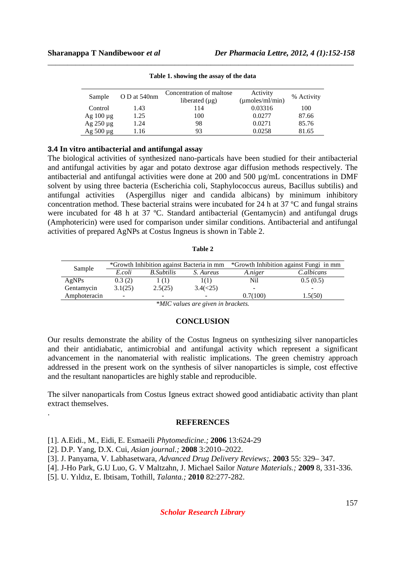| Sample           | O D at 540nm | Concentration of maltose | Activity                    | % Activity |  |
|------------------|--------------|--------------------------|-----------------------------|------------|--|
|                  |              | liberated $(\mu g)$      | $(\mu \text{moles/ml/min})$ |            |  |
| Control          | 1.43         | 114                      | 0.03316                     | 100        |  |
| $Ag$ 100 $\mu$ g | 1.25         | 100                      | 0.0277                      | 87.66      |  |
| $Ag$ 250 $\mu$ g | 1.24         | 98                       | 0.0271                      | 85.76      |  |
| Ag $500 \mu g$   | 1.16         | 93                       | 0.0258                      | 81.65      |  |

\_\_\_\_\_\_\_\_\_\_\_\_\_\_\_\_\_\_\_\_\_\_\_\_\_\_\_\_\_\_\_\_\_\_\_\_\_\_\_\_\_\_\_\_\_\_\_\_\_\_\_\_\_\_\_\_\_\_\_\_\_\_\_\_\_\_\_\_\_\_\_\_\_\_\_\_\_ **Table 1. showing the assay of the data** 

#### **3.4 In vitro antibacterial and antifungal assay**

The biological activities of synthesized nano-particals have been studied for their antibacterial and antifungal activities by agar and potato dextrose agar diffusion methods respectively. The antibacterial and antifungal activities were done at 200 and 500 µg/mL concentrations in DMF solvent by using three bacteria (Escherichia coli, Staphylococcus aureus, Bacillus subtilis) and antifungal activities (Aspergillus niger and candida albicans) by minimum inhibitory concentration method. These bacterial strains were incubated for 24 h at 37 ºC and fungal strains were incubated for 48 h at 37 ºC. Standard antibacterial (Gentamycin) and antifungal drugs (Amphotericin) were used for comparison under similar conditions. Antibacterial and antifungal activities of prepared AgNPs at Costus Ingneus is shown in Table 2.

**Table 2** 

| Sample       | *Growth Inhibition against Bacteria in mm |                    |           | *Growth Inhibition against Fungi in mm |            |
|--------------|-------------------------------------------|--------------------|-----------|----------------------------------------|------------|
|              | E.coli                                    | <b>B.</b> Subtilis | S. Aureus | A.niger                                | C.albicans |
| AgNPs        | 0.3(2)                                    | (1)                | 1(1)      | Nil                                    | 0.5(0.5)   |
| Gentamycin   | 3.1(25)                                   | 2.5(25)            | 3.4(<25)  | $\overline{\phantom{a}}$               |            |
| Amphoteracin |                                           | -                  |           | 0.7(100)                               | 1.5(50)    |

*\*MIC values are given in brackets.* 

## **CONCLUSION**

Our results demonstrate the ability of the Costus Ingneus on synthesizing silver nanoparticles and their antidiabatic, antimicrobial and antifungal activity which represent a significant advancement in the nanomaterial with realistic implications. The green chemistry approach addressed in the present work on the synthesis of silver nanoparticles is simple, cost effective and the resultant nanoparticles are highly stable and reproducible.

The silver nanoparticals from Costus Igneus extract showed good antidiabatic activity than plant extract themselves.

#### **REFERENCES**

- [1]. A.Eidi., M., Eidi, E. Esmaeili *Phytomedicine*.*;* **2006** 13:624-29
- [2]. D.P. Yang, D.X. Cui, *Asian journal.;* **2008** 3:2010–2022.

.

- [3]. J. Panyama, V. Labhasetwara, *Advanced Drug Delivery Reviews;.* **2003** 55: 329– 347.
- [4]. J-Ho Park, G.U Luo, G. V Maltzahn, J. Michael Sailor *Nature Materials.;* **2009** 8, 331-336.

[5]. U. Yıldız, E. Ibtisam, Tothill, *Talanta.;* **2010** 82:277-282.

*Scholar Research Library*